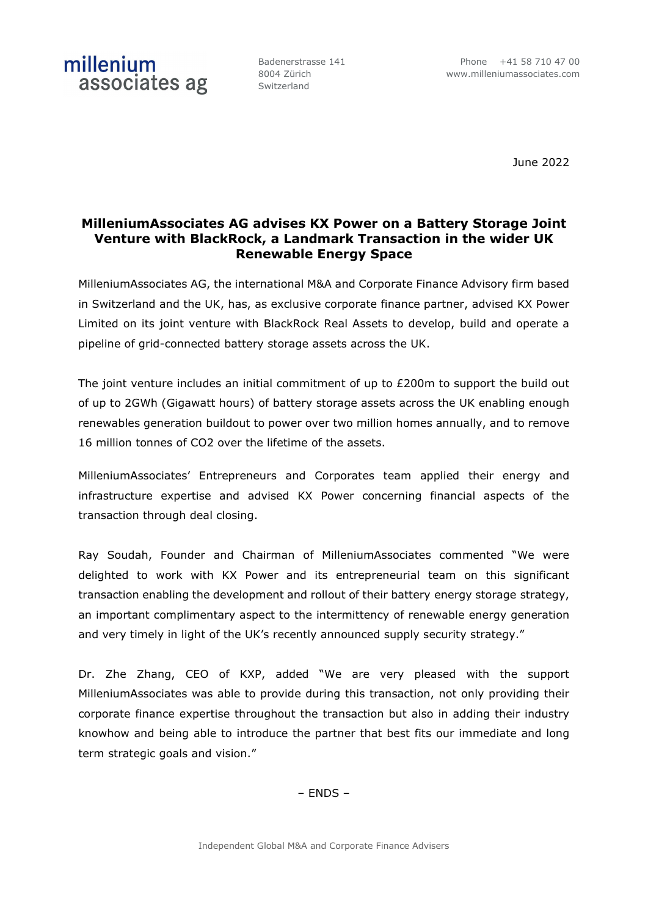millenium

Badenerstrasse 141 8004 Zürich Switzerland

June 2022

# **MilleniumAssociates AG advises KX Power on a Battery Storage Joint Venture with BlackRock, a Landmark Transaction in the wider UK Renewable Energy Space**

MilleniumAssociates AG, the international M&A and Corporate Finance Advisory firm based in Switzerland and the UK, has, as exclusive corporate finance partner, advised KX Power Limited on its joint venture with BlackRock Real Assets to develop, build and operate a pipeline of grid-connected battery storage assets across the UK.

The joint venture includes an initial commitment of up to  $E200m$  to support the build out of up to 2GWh (Gigawatt hours) of battery storage assets across the UK enabling enough renewables generation buildout to power over two million homes annually, and to remove 16 million tonnes of CO2 over the lifetime of the assets.

MilleniumAssociates' Entrepreneurs and Corporates team applied their energy and infrastructure expertise and advised KX Power concerning financial aspects of the transaction through deal closing.

Ray Soudah, Founder and Chairman of MilleniumAssociates commented "We were delighted to work with KX Power and its entrepreneurial team on this significant transaction enabling the development and rollout of their battery energy storage strategy, an important complimentary aspect to the intermittency of renewable energy generation and very timely in light of the UK's recently announced supply security strategy."

Dr. Zhe Zhang, CEO of KXP, added "We are very pleased with the support MilleniumAssociates was able to provide during this transaction, not only providing their corporate finance expertise throughout the transaction but also in adding their industry knowhow and being able to introduce the partner that best fits our immediate and long term strategic goals and vision."

– ENDS –